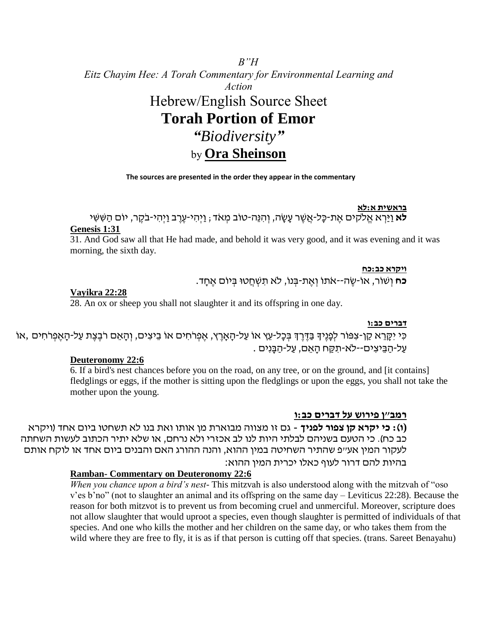# *B"H Eitz Chayim Hee: A Torah Commentary for Environmental Learning and Action* Hebrew/English Source Sheet **Torah Portion of Emor** *"Biodiversity"* by **Ora Sheinson**

### **The sources are presented in the order they appear in the commentary**

#### **בראשית א:לא**

.<br>**לא** וַיַּרְא אֱלֹקים אֶת-כָּל-אֲשֶׁר עָשָׂה, וְהִנֵּה-טוֹב מְאֹד ; וַיְהִי-עֵרֶב וַיְהִי-בֹקֶר, יוֹם הַשִּׁשִׁי **Genesis 1:31**

31. And God saw all that He had made, and behold it was very good, and it was evening and it was morning, the sixth day.

#### **ויקרא כב:כח**

**כח** וְ שוֹר, אוֹ -שֶ ה--אֹתוֹ וְ אֶ ת- ְ נוֹ , ֹלא תִ שְ חֲ טּו ְ יוֹם אֶ חָ ד.

### **Vayikra 22:28**

28. An ox or sheep you shall not slaughter it and its offspring in one day.

#### **דברים כב:ו**

ָּכִּי יִקֶּרֵא קֵן-צִפּוֹר לִפָּנֵיךְ בַּדֶּרֶךְ בִּכָּל-עֵץ אוֹ עַל-הָאָרֶץ, אֱפְרֹחִים אוֹ בֵיצִים, וְהָאֵם רֹבֵצֶת עַל-הָאֵפְרֹחִים ,אוֹ עַל-הַבֵּיצִים--לא-תִקַּח הַאֲם, עַל-הַבַּנִים .

### **Deuteronomy 22:6**

6. If a bird's nest chances before you on the road, on any tree, or on the ground, and [it contains] fledglings or eggs, if the mother is sitting upon the fledglings or upon the eggs, you shall not take the mother upon the young.

#### **רמב"ן פירוש על דברים כב:ו**

**(ו(: כי יקרא קן צפור לפניך -** גם זו מצווה מבוארת מן אותו ואת בנו לא תשחטו ביום אחד )ויקרא כב כח). כי הטעם בשניהם לבלתי היות לנו לב אכזרי ולא נרחם, או שלא יתיר הכתוב לעשות השחתה לעקור המין אע"פ שהתיר השחיטה במין ההוא, והנה ההורג האם והבנים ביום אחד או לוקח אותם בהיות להם דרור לעוף כאלו יכרית המין ההוא:

### **Ramban- Commentary on Deuteronomy 22:6**

*When you chance upon a bird's nest*- This mitzvah is also understood along with the mitzvah of "oso v'es b'no" (not to slaughter an animal and its offspring on the same day – Leviticus 22:28). Because the reason for both mitzvot is to prevent us from becoming cruel and unmerciful. Moreover, scripture does not allow slaughter that would uproot a species, even though slaughter is permitted of individuals of that species. And one who kills the mother and her children on the same day, or who takes them from the wild where they are free to fly, it is as if that person is cutting off that species. (trans. Sareet Benayahu)